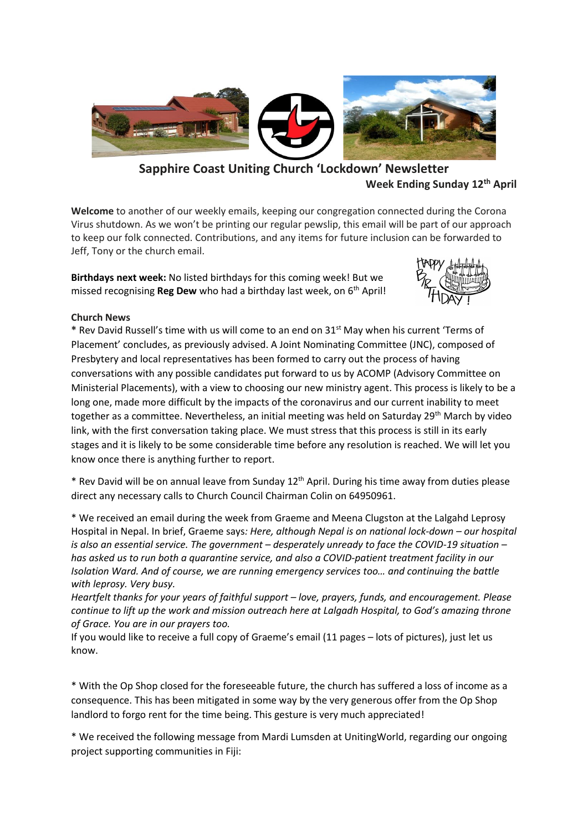

# **Sapphire Coast Uniting Church 'Lockdown' Newsletter Week Ending Sunday 12 th April**

**Welcome** to another of our weekly emails, keeping our congregation connected during the Corona Virus shutdown. As we won't be printing our regular pewslip, this email will be part of our approach to keep our folk connected. Contributions, and any items for future inclusion can be forwarded to Jeff, Tony or the church email.

**Birthdays next week:** No listed birthdays for this coming week! But we missed recognising **Reg Dew** who had a birthday last week, on 6<sup>th</sup> April!



# **Church News**

**\*** Rev David Russell's time with us will come to an end on 31st May when his current 'Terms of Placement' concludes, as previously advised. A Joint Nominating Committee (JNC), composed of Presbytery and local representatives has been formed to carry out the process of having conversations with any possible candidates put forward to us by ACOMP (Advisory Committee on Ministerial Placements), with a view to choosing our new ministry agent. This process is likely to be a long one, made more difficult by the impacts of the coronavirus and our current inability to meet together as a committee. Nevertheless, an initial meeting was held on Saturday 29<sup>th</sup> March by video link, with the first conversation taking place. We must stress that this process is still in its early stages and it is likely to be some considerable time before any resolution is reached. We will let you know once there is anything further to report.

\* Rev David will be on annual leave from Sunday 12 th April. During his time away from duties please direct any necessary calls to Church Council Chairman Colin on 64950961.

\* We received an email during the week from Graeme and Meena Clugston at the Lalgahd Leprosy Hospital in Nepal. In brief, Graeme says*: Here, although Nepal is on national lock-down – our hospital is also an essential service. The government – desperately unready to face the COVID-19 situation – has asked us to run both a quarantine service, and also a COVID-patient treatment facility in our Isolation Ward. And of course, we are running emergency services too… and continuing the battle with leprosy. Very busy.*

*Heartfelt thanks for your years of faithful support – love, prayers, funds, and encouragement. Please continue to lift up the work and mission outreach here at Lalgadh Hospital, to God's amazing throne of Grace. You are in our prayers too.*

If you would like to receive a full copy of Graeme's email (11 pages – lots of pictures), just let us know.

\* With the Op Shop closed for the foreseeable future, the church has suffered a loss of income as a consequence. This has been mitigated in some way by the very generous offer from the Op Shop landlord to forgo rent for the time being. This gesture is very much appreciated!

\* We received the following message from Mardi Lumsden at UnitingWorld, regarding our ongoing project supporting communities in Fiji: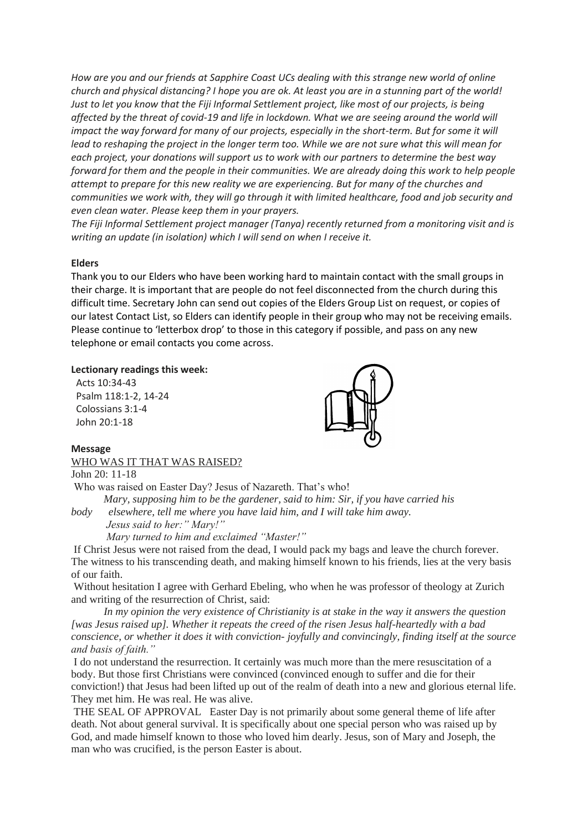*How are you and our friends at Sapphire Coast UCs dealing with this strange new world of online church and physical distancing? I hope you are ok. At least you are in a stunning part of the world! Just to let you know that the Fiji Informal Settlement project, like most of our projects, is being affected by the threat of covid-19 and life in lockdown. What we are seeing around the world will impact the way forward for many of our projects, especially in the short-term. But for some it will lead to reshaping the project in the longer term too. While we are not sure what this will mean for each project, your donations will support us to work with our partners to determine the best way forward for them and the people in their communities. We are already doing this work to help people attempt to prepare for this new reality we are experiencing. But for many of the churches and communities we work with, they will go through it with limited healthcare, food and job security and even clean water. Please keep them in your prayers.* 

*The Fiji Informal Settlement project manager (Tanya) recently returned from a monitoring visit and is writing an update (in isolation) which I will send on when I receive it.*

#### **Elders**

Thank you to our Elders who have been working hard to maintain contact with the small groups in their charge. It is important that are people do not feel disconnected from the church during this difficult time. Secretary John can send out copies of the Elders Group List on request, or copies of our latest Contact List, so Elders can identify people in their group who may not be receiving emails. Please continue to 'letterbox drop' to those in this category if possible, and pass on any new telephone or email contacts you come across.

#### **Lectionary readings this week:**

 Acts 10:34-43 Psalm 118:1-2, 14-24 Colossians 3:1-4 John 20:1-18



### **Message** WHO WAS IT THAT WAS RAISED?

John 20: 11-18

Who was raised on Easter Day? Jesus of Nazareth. That's who! *Mary, supposing him to be the gardener, said to him: Sir, if you have carried his* 

*body elsewhere, tell me where you have laid him, and I will take him away. Jesus said to her:" Mary!" Mary turned to him and exclaimed "Master!"*

If Christ Jesus were not raised from the dead, I would pack my bags and leave the church forever. The witness to his transcending death, and making himself known to his friends, lies at the very basis of our faith.

Without hesitation I agree with Gerhard Ebeling, who when he was professor of theology at Zurich and writing of the resurrection of Christ, said:

 *In my opinion the very existence of Christianity is at stake in the way it answers the question [was Jesus raised up]. Whether it repeats the creed of the risen Jesus half-heartedly with a bad conscience, or whether it does it with conviction- joyfully and convincingly, finding itself at the source and basis of faith."*

I do not understand the resurrection. It certainly was much more than the mere resuscitation of a body. But those first Christians were convinced (convinced enough to suffer and die for their conviction!) that Jesus had been lifted up out of the realm of death into a new and glorious eternal life. They met him. He was real. He was alive.

THE SEAL OF APPROVAL Easter Day is not primarily about some general theme of life after death. Not about general survival. It is specifically about one special person who was raised up by God, and made himself known to those who loved him dearly. Jesus, son of Mary and Joseph, the man who was crucified, is the person Easter is about.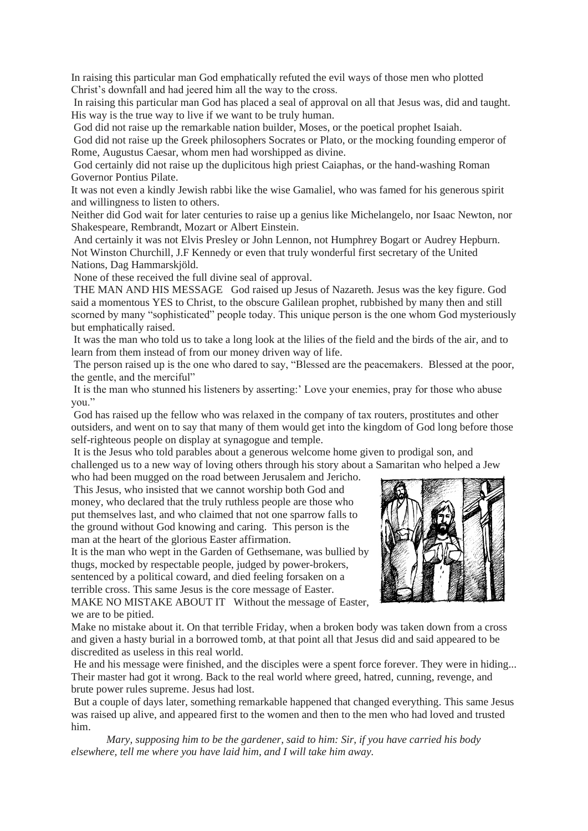In raising this particular man God emphatically refuted the evil ways of those men who plotted Christ's downfall and had jeered him all the way to the cross.

In raising this particular man God has placed a seal of approval on all that Jesus was, did and taught. His way is the true way to live if we want to be truly human.

God did not raise up the remarkable nation builder, Moses, or the poetical prophet Isaiah.

God did not raise up the Greek philosophers Socrates or Plato, or the mocking founding emperor of Rome, Augustus Caesar, whom men had worshipped as divine.

God certainly did not raise up the duplicitous high priest Caiaphas, or the hand-washing Roman Governor Pontius Pilate.

It was not even a kindly Jewish rabbi like the wise Gamaliel, who was famed for his generous spirit and willingness to listen to others.

Neither did God wait for later centuries to raise up a genius like Michelangelo, nor Isaac Newton, nor Shakespeare, Rembrandt, Mozart or Albert Einstein.

And certainly it was not Elvis Presley or John Lennon, not Humphrey Bogart or Audrey Hepburn. Not Winston Churchill, J.F Kennedy or even that truly wonderful first secretary of the United Nations, Dag Hammarskjöld.

None of these received the full divine seal of approval.

THE MAN AND HIS MESSAGE God raised up Jesus of Nazareth. Jesus was the key figure. God said a momentous YES to Christ, to the obscure Galilean prophet, rubbished by many then and still scorned by many "sophisticated" people today. This unique person is the one whom God mysteriously but emphatically raised.

It was the man who told us to take a long look at the lilies of the field and the birds of the air, and to learn from them instead of from our money driven way of life.

The person raised up is the one who dared to say, "Blessed are the peacemakers. Blessed at the poor, the gentle, and the merciful"

It is the man who stunned his listeners by asserting:' Love your enemies, pray for those who abuse you."

God has raised up the fellow who was relaxed in the company of tax routers, prostitutes and other outsiders, and went on to say that many of them would get into the kingdom of God long before those self-righteous people on display at synagogue and temple.

It is the Jesus who told parables about a generous welcome home given to prodigal son, and challenged us to a new way of loving others through his story about a Samaritan who helped a Jew who had been mugged on the road between Jerusalem and Jericho.

This Jesus, who insisted that we cannot worship both God and money, who declared that the truly ruthless people are those who put themselves last, and who claimed that not one sparrow falls to the ground without God knowing and caring. This person is the man at the heart of the glorious Easter affirmation.

It is the man who wept in the Garden of Gethsemane, was bullied by thugs, mocked by respectable people, judged by power-brokers, sentenced by a political coward, and died feeling forsaken on a terrible cross. This same Jesus is the core message of Easter.

MAKE NO MISTAKE ABOUT IT Without the message of Easter, we are to be pitied.



Make no mistake about it. On that terrible Friday, when a broken body was taken down from a cross and given a hasty burial in a borrowed tomb, at that point all that Jesus did and said appeared to be discredited as useless in this real world.

He and his message were finished, and the disciples were a spent force forever. They were in hiding... Their master had got it wrong. Back to the real world where greed, hatred, cunning, revenge, and brute power rules supreme. Jesus had lost.

But a couple of days later, something remarkable happened that changed everything. This same Jesus was raised up alive, and appeared first to the women and then to the men who had loved and trusted him.

 *Mary, supposing him to be the gardener, said to him: Sir, if you have carried his body elsewhere, tell me where you have laid him, and I will take him away.*